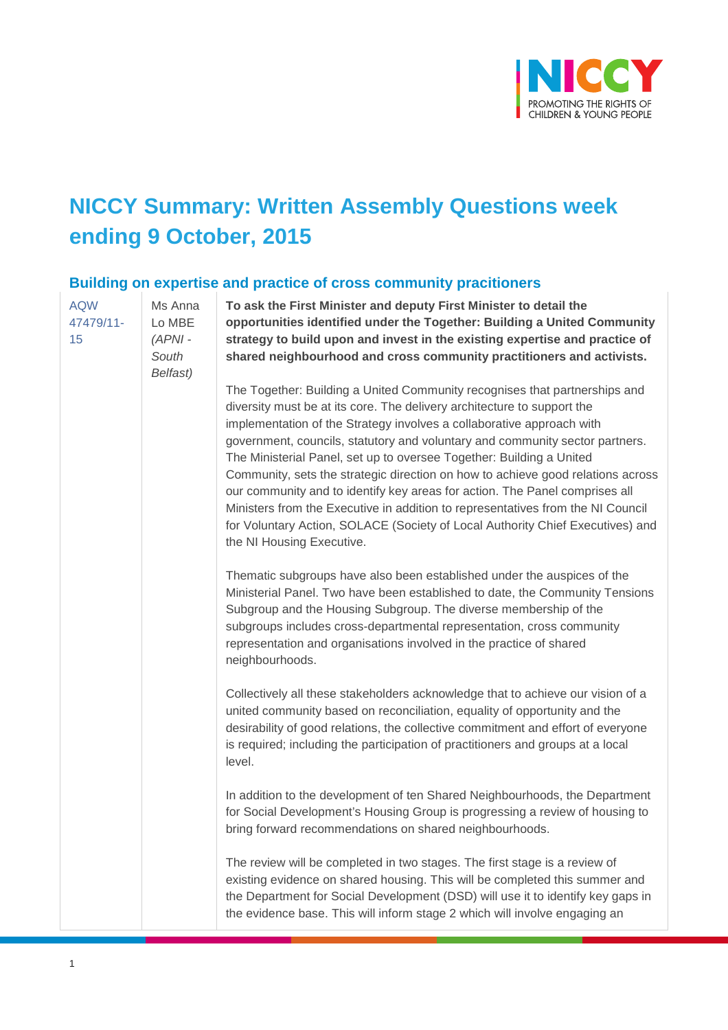

# **NICCY Summary: Written Assembly Questions week ending 9 October, 2015**

#### **Building on expertise and practice of cross community pracitioners**

[AQW](javascript:__doPostBack()  [47479/11-](javascript:__doPostBack() [15](javascript:__doPostBack() Ms Anna Lo MBE *(APNI - South Belfast)* level.

**To ask the First Minister and deputy First Minister to detail the opportunities identified under the Together: Building a United Community strategy to build upon and invest in the existing expertise and practice of shared neighbourhood and cross community practitioners and activists.** 

The Together: Building a United Community recognises that partnerships and diversity must be at its core. The delivery architecture to support the implementation of the Strategy involves a collaborative approach with government, councils, statutory and voluntary and community sector partners. The Ministerial Panel, set up to oversee Together: Building a United Community, sets the strategic direction on how to achieve good relations across our community and to identify key areas for action. The Panel comprises all Ministers from the Executive in addition to representatives from the NI Council for Voluntary Action, SOLACE (Society of Local Authority Chief Executives) and the NI Housing Executive.

Thematic subgroups have also been established under the auspices of the Ministerial Panel. Two have been established to date, the Community Tensions Subgroup and the Housing Subgroup. The diverse membership of the subgroups includes cross-departmental representation, cross community representation and organisations involved in the practice of shared neighbourhoods.

Collectively all these stakeholders acknowledge that to achieve our vision of a united community based on reconciliation, equality of opportunity and the desirability of good relations, the collective commitment and effort of everyone is required; including the participation of practitioners and groups at a local

In addition to the development of ten Shared Neighbourhoods, the Department for Social Development's Housing Group is progressing a review of housing to bring forward recommendations on shared neighbourhoods.

The review will be completed in two stages. The first stage is a review of existing evidence on shared housing. This will be completed this summer and the Department for Social Development (DSD) will use it to identify key gaps in the evidence base. This will inform stage 2 which will involve engaging an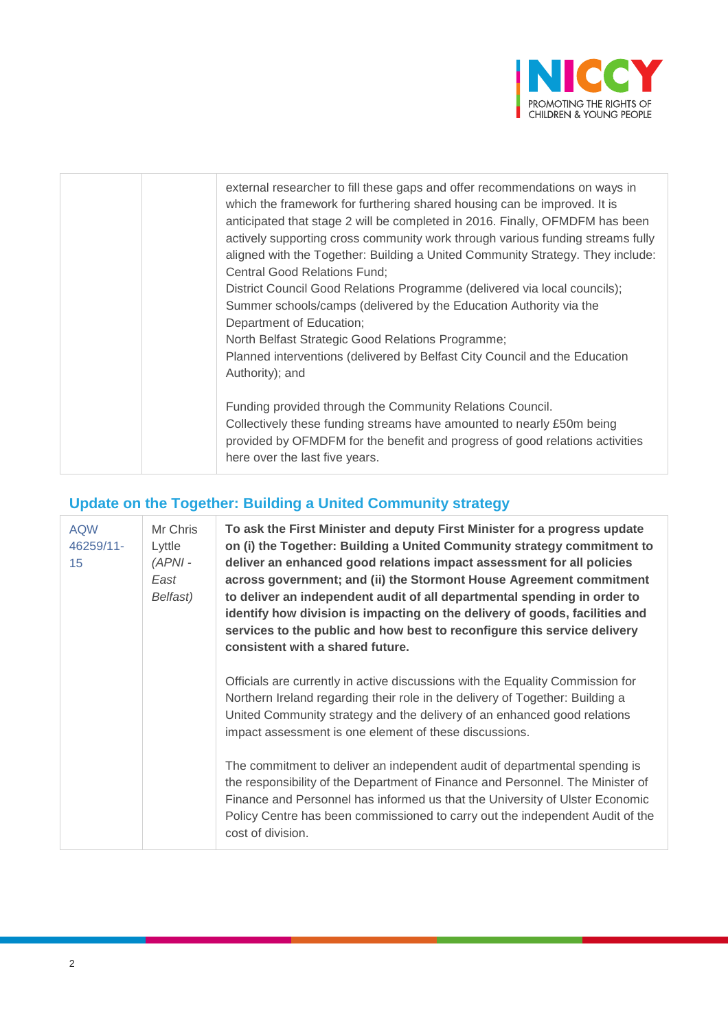

| external researcher to fill these gaps and offer recommendations on ways in<br>which the framework for furthering shared housing can be improved. It is<br>anticipated that stage 2 will be completed in 2016. Finally, OFMDFM has been<br>actively supporting cross community work through various funding streams fully<br>aligned with the Together: Building a United Community Strategy. They include:<br><b>Central Good Relations Fund;</b><br>District Council Good Relations Programme (delivered via local councils);<br>Summer schools/camps (delivered by the Education Authority via the<br>Department of Education;<br>North Belfast Strategic Good Relations Programme;<br>Planned interventions (delivered by Belfast City Council and the Education<br>Authority); and |
|-----------------------------------------------------------------------------------------------------------------------------------------------------------------------------------------------------------------------------------------------------------------------------------------------------------------------------------------------------------------------------------------------------------------------------------------------------------------------------------------------------------------------------------------------------------------------------------------------------------------------------------------------------------------------------------------------------------------------------------------------------------------------------------------|
| Funding provided through the Community Relations Council.<br>Collectively these funding streams have amounted to nearly £50m being<br>provided by OFMDFM for the benefit and progress of good relations activities<br>here over the last five years.                                                                                                                                                                                                                                                                                                                                                                                                                                                                                                                                    |

## **Update on the Together: Building a United Community strategy**

| <b>AQW</b><br>46259/11-<br>15 | Mr Chris<br>Lyttle<br>$(APNI -$<br>East<br>Belfast) | To ask the First Minister and deputy First Minister for a progress update<br>on (i) the Together: Building a United Community strategy commitment to<br>deliver an enhanced good relations impact assessment for all policies<br>across government; and (ii) the Stormont House Agreement commitment<br>to deliver an independent audit of all departmental spending in order to<br>identify how division is impacting on the delivery of goods, facilities and<br>services to the public and how best to reconfigure this service delivery<br>consistent with a shared future. |
|-------------------------------|-----------------------------------------------------|---------------------------------------------------------------------------------------------------------------------------------------------------------------------------------------------------------------------------------------------------------------------------------------------------------------------------------------------------------------------------------------------------------------------------------------------------------------------------------------------------------------------------------------------------------------------------------|
|                               |                                                     | Officials are currently in active discussions with the Equality Commission for<br>Northern Ireland regarding their role in the delivery of Together: Building a<br>United Community strategy and the delivery of an enhanced good relations<br>impact assessment is one element of these discussions.                                                                                                                                                                                                                                                                           |
|                               |                                                     | The commitment to deliver an independent audit of departmental spending is<br>the responsibility of the Department of Finance and Personnel. The Minister of<br>Finance and Personnel has informed us that the University of Ulster Economic<br>Policy Centre has been commissioned to carry out the independent Audit of the<br>cost of division.                                                                                                                                                                                                                              |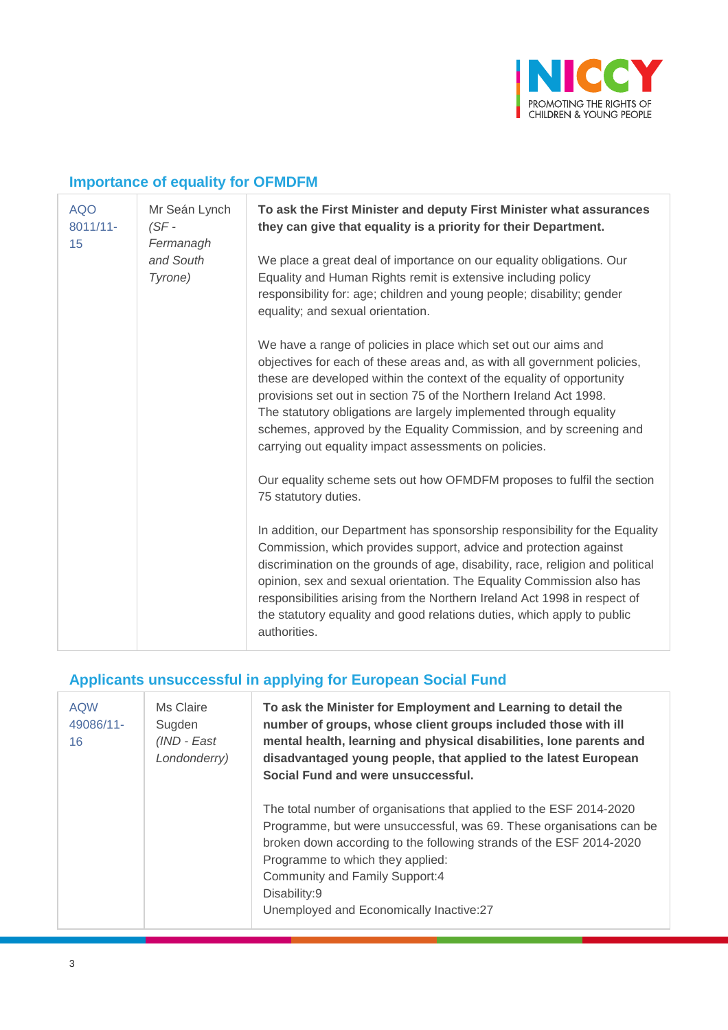

## **Importance of equality for OFMDFM**

| <b>AQO</b><br>$8011/11 -$<br>15 | Mr Seán Lynch<br>$(SF -$<br>Fermanagh<br>and South<br>Tyrone) | To ask the First Minister and deputy First Minister what assurances<br>they can give that equality is a priority for their Department.                                                                                                                                                                                                                                                                                                                                                          |
|---------------------------------|---------------------------------------------------------------|-------------------------------------------------------------------------------------------------------------------------------------------------------------------------------------------------------------------------------------------------------------------------------------------------------------------------------------------------------------------------------------------------------------------------------------------------------------------------------------------------|
|                                 |                                                               | We place a great deal of importance on our equality obligations. Our<br>Equality and Human Rights remit is extensive including policy<br>responsibility for: age; children and young people; disability; gender<br>equality; and sexual orientation.                                                                                                                                                                                                                                            |
|                                 |                                                               | We have a range of policies in place which set out our aims and<br>objectives for each of these areas and, as with all government policies,<br>these are developed within the context of the equality of opportunity<br>provisions set out in section 75 of the Northern Ireland Act 1998.<br>The statutory obligations are largely implemented through equality<br>schemes, approved by the Equality Commission, and by screening and<br>carrying out equality impact assessments on policies. |
|                                 |                                                               | Our equality scheme sets out how OFMDFM proposes to fulfil the section<br>75 statutory duties.                                                                                                                                                                                                                                                                                                                                                                                                  |
|                                 |                                                               | In addition, our Department has sponsorship responsibility for the Equality<br>Commission, which provides support, advice and protection against<br>discrimination on the grounds of age, disability, race, religion and political<br>opinion, sex and sexual orientation. The Equality Commission also has<br>responsibilities arising from the Northern Ireland Act 1998 in respect of<br>the statutory equality and good relations duties, which apply to public<br>authorities.             |

# **Applicants unsuccessful in applying for European Social Fund**

| <b>AQW</b><br>49086/11-<br>16 | Ms Claire<br>Sugden<br>(IND - East<br>Londonderry) | To ask the Minister for Employment and Learning to detail the<br>number of groups, whose client groups included those with ill<br>mental health, learning and physical disabilities, lone parents and<br>disadvantaged young people, that applied to the latest European<br>Social Fund and were unsuccessful.                                      |
|-------------------------------|----------------------------------------------------|-----------------------------------------------------------------------------------------------------------------------------------------------------------------------------------------------------------------------------------------------------------------------------------------------------------------------------------------------------|
|                               |                                                    | The total number of organisations that applied to the ESF 2014-2020<br>Programme, but were unsuccessful, was 69. These organisations can be<br>broken down according to the following strands of the ESF 2014-2020<br>Programme to which they applied:<br>Community and Family Support:4<br>Disability:9<br>Unemployed and Economically Inactive:27 |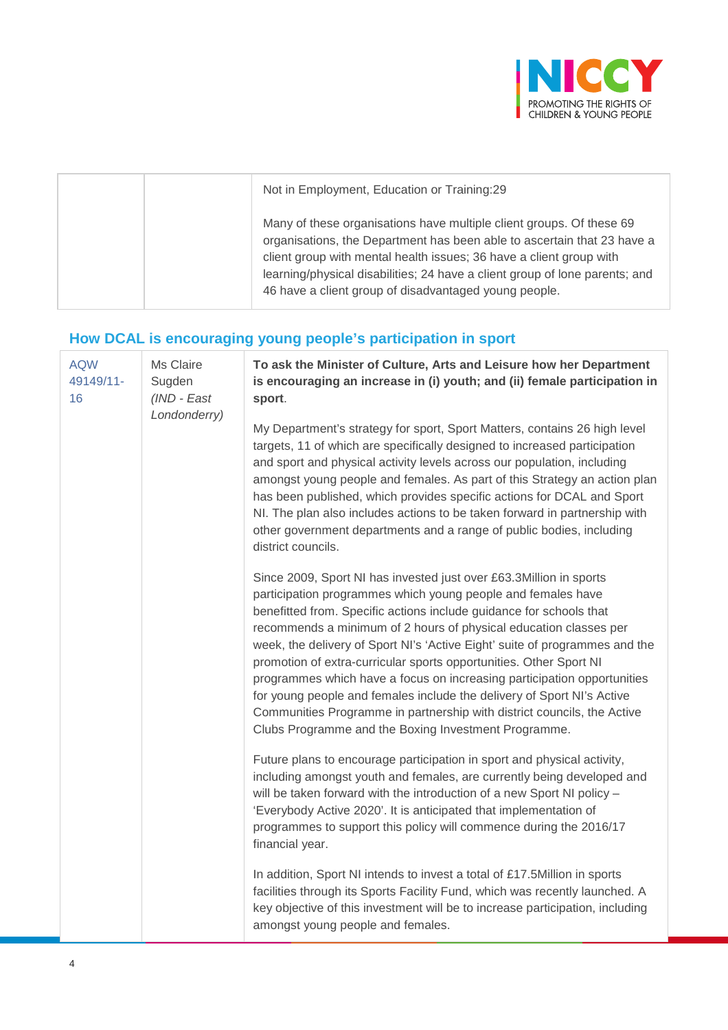

| Not in Employment, Education or Training:29                                                                                                                                                                                                                                                                                                                    |
|----------------------------------------------------------------------------------------------------------------------------------------------------------------------------------------------------------------------------------------------------------------------------------------------------------------------------------------------------------------|
| Many of these organisations have multiple client groups. Of these 69<br>organisations, the Department has been able to ascertain that 23 have a<br>client group with mental health issues; 36 have a client group with<br>learning/physical disabilities; 24 have a client group of lone parents; and<br>46 have a client group of disadvantaged young people. |

#### **How DCAL is encouraging young people's participation in sport**

| <b>AQW</b><br>49149/11-<br>16 | Ms Claire<br>Sugden<br>(IND - East<br>Londonderry) | To ask the Minister of Culture, Arts and Leisure how her Department<br>is encouraging an increase in (i) youth; and (ii) female participation in<br>sport.                                                                                                                                                                                                                                                                                                                                                                                                                                                                                                                                                                  |
|-------------------------------|----------------------------------------------------|-----------------------------------------------------------------------------------------------------------------------------------------------------------------------------------------------------------------------------------------------------------------------------------------------------------------------------------------------------------------------------------------------------------------------------------------------------------------------------------------------------------------------------------------------------------------------------------------------------------------------------------------------------------------------------------------------------------------------------|
|                               |                                                    | My Department's strategy for sport, Sport Matters, contains 26 high level<br>targets, 11 of which are specifically designed to increased participation<br>and sport and physical activity levels across our population, including<br>amongst young people and females. As part of this Strategy an action plan<br>has been published, which provides specific actions for DCAL and Sport<br>NI. The plan also includes actions to be taken forward in partnership with<br>other government departments and a range of public bodies, including<br>district councils.                                                                                                                                                        |
|                               |                                                    | Since 2009, Sport NI has invested just over £63.3Million in sports<br>participation programmes which young people and females have<br>benefitted from. Specific actions include guidance for schools that<br>recommends a minimum of 2 hours of physical education classes per<br>week, the delivery of Sport NI's 'Active Eight' suite of programmes and the<br>promotion of extra-curricular sports opportunities. Other Sport NI<br>programmes which have a focus on increasing participation opportunities<br>for young people and females include the delivery of Sport NI's Active<br>Communities Programme in partnership with district councils, the Active<br>Clubs Programme and the Boxing Investment Programme. |
|                               |                                                    | Future plans to encourage participation in sport and physical activity,<br>including amongst youth and females, are currently being developed and<br>will be taken forward with the introduction of a new Sport NI policy -<br>'Everybody Active 2020'. It is anticipated that implementation of<br>programmes to support this policy will commence during the 2016/17<br>financial year.                                                                                                                                                                                                                                                                                                                                   |
|                               |                                                    | In addition, Sport NI intends to invest a total of £17.5Million in sports<br>facilities through its Sports Facility Fund, which was recently launched. A<br>key objective of this investment will be to increase participation, including<br>amongst young people and females.                                                                                                                                                                                                                                                                                                                                                                                                                                              |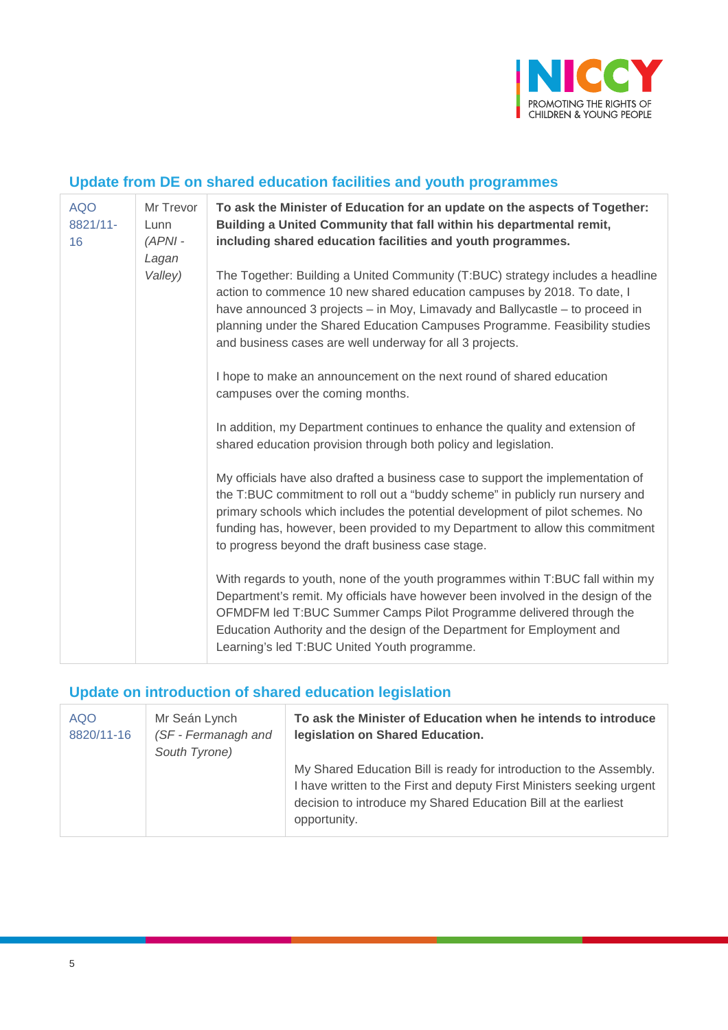

#### **Update from DE on shared education facilities and youth programmes**

| <b>AQO</b><br>8821/11-<br>16 | Mr Trevor<br>Lunn<br>$(APNI -$<br>Lagan<br>Valley) | To ask the Minister of Education for an update on the aspects of Together:<br>Building a United Community that fall within his departmental remit,<br>including shared education facilities and youth programmes.                                                                                                                                                                       |
|------------------------------|----------------------------------------------------|-----------------------------------------------------------------------------------------------------------------------------------------------------------------------------------------------------------------------------------------------------------------------------------------------------------------------------------------------------------------------------------------|
|                              |                                                    | The Together: Building a United Community (T:BUC) strategy includes a headline<br>action to commence 10 new shared education campuses by 2018. To date, I<br>have announced 3 projects - in Moy, Limavady and Ballycastle - to proceed in<br>planning under the Shared Education Campuses Programme. Feasibility studies<br>and business cases are well underway for all 3 projects.    |
|                              |                                                    | I hope to make an announcement on the next round of shared education<br>campuses over the coming months.                                                                                                                                                                                                                                                                                |
|                              |                                                    | In addition, my Department continues to enhance the quality and extension of<br>shared education provision through both policy and legislation.                                                                                                                                                                                                                                         |
|                              |                                                    | My officials have also drafted a business case to support the implementation of<br>the T:BUC commitment to roll out a "buddy scheme" in publicly run nursery and<br>primary schools which includes the potential development of pilot schemes. No<br>funding has, however, been provided to my Department to allow this commitment<br>to progress beyond the draft business case stage. |
|                              |                                                    | With regards to youth, none of the youth programmes within T:BUC fall within my<br>Department's remit. My officials have however been involved in the design of the<br>OFMDFM led T:BUC Summer Camps Pilot Programme delivered through the<br>Education Authority and the design of the Department for Employment and<br>Learning's led T:BUC United Youth programme.                   |

## **Update on introduction of shared education legislation**

| <b>AQO</b><br>8820/11-16 | Mr Seán Lynch<br>(SF - Fermanagh and<br>South Tyrone) | To ask the Minister of Education when he intends to introduce<br>legislation on Shared Education.                                                                                                                              |
|--------------------------|-------------------------------------------------------|--------------------------------------------------------------------------------------------------------------------------------------------------------------------------------------------------------------------------------|
|                          |                                                       | My Shared Education Bill is ready for introduction to the Assembly.<br>I have written to the First and deputy First Ministers seeking urgent<br>decision to introduce my Shared Education Bill at the earliest<br>opportunity. |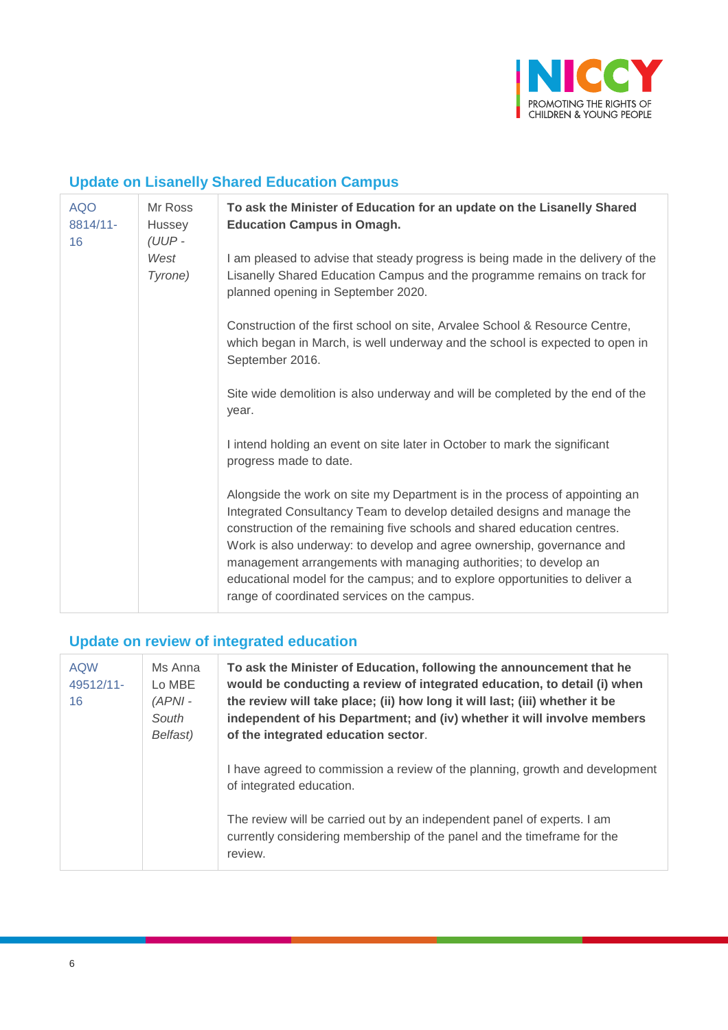

#### **Update on Lisanelly Shared Education Campus**

| <b>AQO</b><br>8814/11-<br>16 | Mr Ross<br>Hussey<br>(UUP - | To ask the Minister of Education for an update on the Lisanelly Shared<br><b>Education Campus in Omagh.</b>                                                                                                                                                                                                                                                                                                                                                                                                   |
|------------------------------|-----------------------------|---------------------------------------------------------------------------------------------------------------------------------------------------------------------------------------------------------------------------------------------------------------------------------------------------------------------------------------------------------------------------------------------------------------------------------------------------------------------------------------------------------------|
|                              | West<br>Tyrone)             | I am pleased to advise that steady progress is being made in the delivery of the<br>Lisanelly Shared Education Campus and the programme remains on track for<br>planned opening in September 2020.                                                                                                                                                                                                                                                                                                            |
|                              |                             | Construction of the first school on site, Arvalee School & Resource Centre,<br>which began in March, is well underway and the school is expected to open in<br>September 2016.                                                                                                                                                                                                                                                                                                                                |
|                              |                             | Site wide demolition is also underway and will be completed by the end of the<br>year.                                                                                                                                                                                                                                                                                                                                                                                                                        |
|                              |                             | I intend holding an event on site later in October to mark the significant<br>progress made to date.                                                                                                                                                                                                                                                                                                                                                                                                          |
|                              |                             | Alongside the work on site my Department is in the process of appointing an<br>Integrated Consultancy Team to develop detailed designs and manage the<br>construction of the remaining five schools and shared education centres.<br>Work is also underway: to develop and agree ownership, governance and<br>management arrangements with managing authorities; to develop an<br>educational model for the campus; and to explore opportunities to deliver a<br>range of coordinated services on the campus. |

## **Update on review of integrated education**

| <b>AQW</b><br>49512/11-<br>16 | Ms Anna<br>Lo MBE<br>$(APNI -$<br>South<br>Belfast) | To ask the Minister of Education, following the announcement that he<br>would be conducting a review of integrated education, to detail (i) when<br>the review will take place; (ii) how long it will last; (iii) whether it be<br>independent of his Department; and (iv) whether it will involve members<br>of the integrated education sector. |
|-------------------------------|-----------------------------------------------------|---------------------------------------------------------------------------------------------------------------------------------------------------------------------------------------------------------------------------------------------------------------------------------------------------------------------------------------------------|
|                               |                                                     | I have agreed to commission a review of the planning, growth and development<br>of integrated education.                                                                                                                                                                                                                                          |
|                               |                                                     | The review will be carried out by an independent panel of experts. I am<br>currently considering membership of the panel and the timeframe for the<br>review.                                                                                                                                                                                     |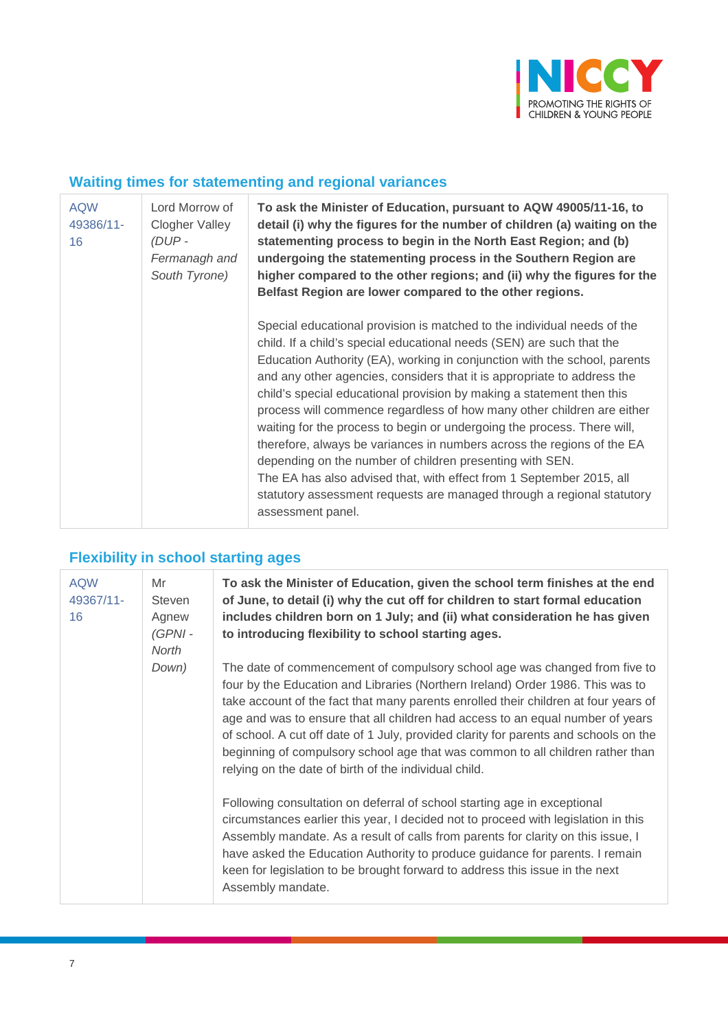

#### **Waiting times for statementing and regional variances**

| <b>AQW</b><br>49386/11-<br>16 | Lord Morrow of<br>Clogher Valley<br>(DUP -<br>Fermanagh and<br>South Tyrone) | To ask the Minister of Education, pursuant to AQW 49005/11-16, to<br>detail (i) why the figures for the number of children (a) waiting on the<br>statementing process to begin in the North East Region; and (b)<br>undergoing the statementing process in the Southern Region are<br>higher compared to the other regions; and (ii) why the figures for the<br>Belfast Region are lower compared to the other regions.                                                                                                                                                                                                                                                                                                                                                                                                                             |
|-------------------------------|------------------------------------------------------------------------------|-----------------------------------------------------------------------------------------------------------------------------------------------------------------------------------------------------------------------------------------------------------------------------------------------------------------------------------------------------------------------------------------------------------------------------------------------------------------------------------------------------------------------------------------------------------------------------------------------------------------------------------------------------------------------------------------------------------------------------------------------------------------------------------------------------------------------------------------------------|
|                               |                                                                              | Special educational provision is matched to the individual needs of the<br>child. If a child's special educational needs (SEN) are such that the<br>Education Authority (EA), working in conjunction with the school, parents<br>and any other agencies, considers that it is appropriate to address the<br>child's special educational provision by making a statement then this<br>process will commence regardless of how many other children are either<br>waiting for the process to begin or undergoing the process. There will,<br>therefore, always be variances in numbers across the regions of the EA<br>depending on the number of children presenting with SEN.<br>The EA has also advised that, with effect from 1 September 2015, all<br>statutory assessment requests are managed through a regional statutory<br>assessment panel. |

#### **Flexibility in school starting ages**

| <b>AQW</b><br>49367/11- | Mr<br><b>Steven</b>         | To ask the Minister of Education, given the school term finishes at the end<br>of June, to detail (i) why the cut off for children to start formal education                                                                                                                                                                                                                                                                                                                                                                                                             |
|-------------------------|-----------------------------|--------------------------------------------------------------------------------------------------------------------------------------------------------------------------------------------------------------------------------------------------------------------------------------------------------------------------------------------------------------------------------------------------------------------------------------------------------------------------------------------------------------------------------------------------------------------------|
| 16                      | Agnew<br>$(GPNI -$<br>North | includes children born on 1 July; and (ii) what consideration he has given<br>to introducing flexibility to school starting ages.                                                                                                                                                                                                                                                                                                                                                                                                                                        |
|                         | Down)                       | The date of commencement of compulsory school age was changed from five to<br>four by the Education and Libraries (Northern Ireland) Order 1986. This was to<br>take account of the fact that many parents enrolled their children at four years of<br>age and was to ensure that all children had access to an equal number of years<br>of school. A cut off date of 1 July, provided clarity for parents and schools on the<br>beginning of compulsory school age that was common to all children rather than<br>relying on the date of birth of the individual child. |
|                         |                             | Following consultation on deferral of school starting age in exceptional<br>circumstances earlier this year, I decided not to proceed with legislation in this<br>Assembly mandate. As a result of calls from parents for clarity on this issue, I<br>have asked the Education Authority to produce guidance for parents. I remain<br>keen for legislation to be brought forward to address this issue in the next<br>Assembly mandate.                                                                                                                                  |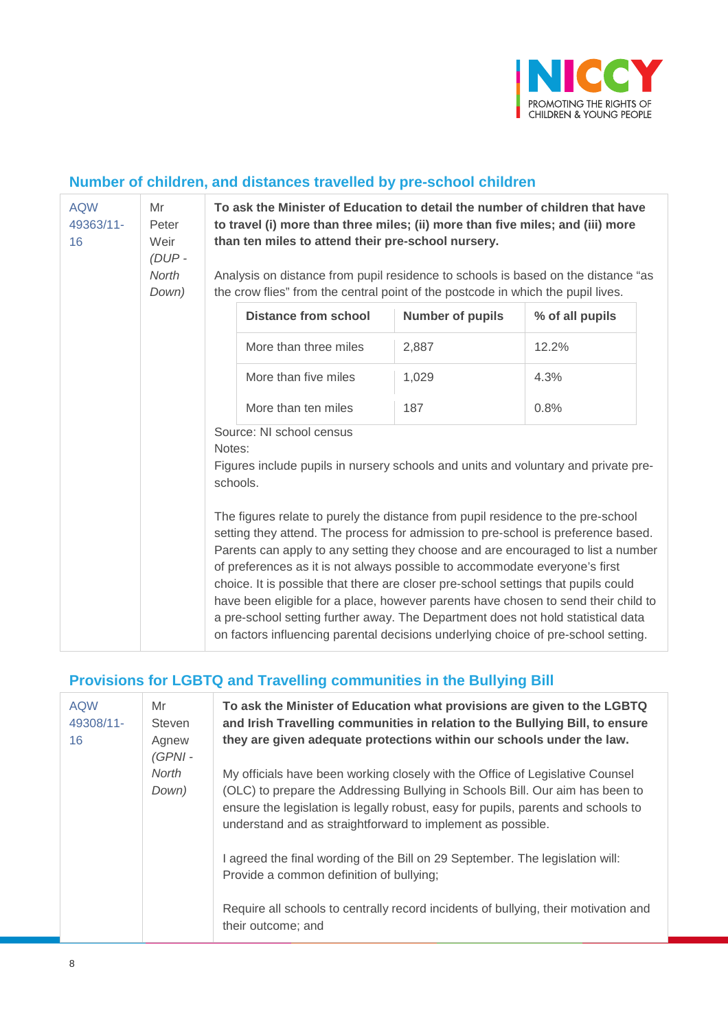

#### **Number of children, and distances travelled by pre-school children**

| <b>AQW</b><br>49363/11-<br>16 | Mr<br>Peter<br>Weir<br>(DUP-<br><b>North</b><br>Down) | To ask the Minister of Education to detail the number of children that have<br>to travel (i) more than three miles; (ii) more than five miles; and (iii) more<br>than ten miles to attend their pre-school nursery. |                                                                                                                                                                                                                                                                                                                                                                                                                                                                                                                                                                                                                                                                                                |                         |                 |
|-------------------------------|-------------------------------------------------------|---------------------------------------------------------------------------------------------------------------------------------------------------------------------------------------------------------------------|------------------------------------------------------------------------------------------------------------------------------------------------------------------------------------------------------------------------------------------------------------------------------------------------------------------------------------------------------------------------------------------------------------------------------------------------------------------------------------------------------------------------------------------------------------------------------------------------------------------------------------------------------------------------------------------------|-------------------------|-----------------|
|                               |                                                       | Analysis on distance from pupil residence to schools is based on the distance "as<br>the crow flies" from the central point of the postcode in which the pupil lives.                                               |                                                                                                                                                                                                                                                                                                                                                                                                                                                                                                                                                                                                                                                                                                |                         |                 |
|                               |                                                       |                                                                                                                                                                                                                     | <b>Distance from school</b>                                                                                                                                                                                                                                                                                                                                                                                                                                                                                                                                                                                                                                                                    | <b>Number of pupils</b> | % of all pupils |
|                               |                                                       |                                                                                                                                                                                                                     | More than three miles                                                                                                                                                                                                                                                                                                                                                                                                                                                                                                                                                                                                                                                                          | 2,887                   | 12.2%           |
|                               |                                                       |                                                                                                                                                                                                                     | More than five miles                                                                                                                                                                                                                                                                                                                                                                                                                                                                                                                                                                                                                                                                           | 1,029                   | 4.3%            |
|                               |                                                       |                                                                                                                                                                                                                     | More than ten miles                                                                                                                                                                                                                                                                                                                                                                                                                                                                                                                                                                                                                                                                            | 187                     | 0.8%            |
|                               |                                                       | Source: NI school census<br>Notes:<br>Figures include pupils in nursery schools and units and voluntary and private pre-<br>schools.                                                                                |                                                                                                                                                                                                                                                                                                                                                                                                                                                                                                                                                                                                                                                                                                |                         |                 |
|                               |                                                       |                                                                                                                                                                                                                     | The figures relate to purely the distance from pupil residence to the pre-school<br>setting they attend. The process for admission to pre-school is preference based.<br>Parents can apply to any setting they choose and are encouraged to list a number<br>of preferences as it is not always possible to accommodate everyone's first<br>choice. It is possible that there are closer pre-school settings that pupils could<br>have been eligible for a place, however parents have chosen to send their child to<br>a pre-school setting further away. The Department does not hold statistical data<br>on factors influencing parental decisions underlying choice of pre-school setting. |                         |                 |

## **Provisions for LGBTQ and Travelling communities in the Bullying Bill**

| <b>AQW</b><br>Mr<br>49308/11-<br>Steven<br>16<br>Agnew<br>$(GPNI -$<br>North<br>Down) |                                                                                                                                                                                                                                                                                                                    | To ask the Minister of Education what provisions are given to the LGBTQ<br>and Irish Travelling communities in relation to the Bullying Bill, to ensure<br>they are given adequate protections within our schools under the law. |
|---------------------------------------------------------------------------------------|--------------------------------------------------------------------------------------------------------------------------------------------------------------------------------------------------------------------------------------------------------------------------------------------------------------------|----------------------------------------------------------------------------------------------------------------------------------------------------------------------------------------------------------------------------------|
|                                                                                       | My officials have been working closely with the Office of Legislative Counsel<br>(OLC) to prepare the Addressing Bullying in Schools Bill. Our aim has been to<br>ensure the legislation is legally robust, easy for pupils, parents and schools to<br>understand and as straightforward to implement as possible. |                                                                                                                                                                                                                                  |
|                                                                                       |                                                                                                                                                                                                                                                                                                                    | I agreed the final wording of the Bill on 29 September. The legislation will:<br>Provide a common definition of bullying;                                                                                                        |
|                                                                                       |                                                                                                                                                                                                                                                                                                                    | Require all schools to centrally record incidents of bullying, their motivation and<br>their outcome; and                                                                                                                        |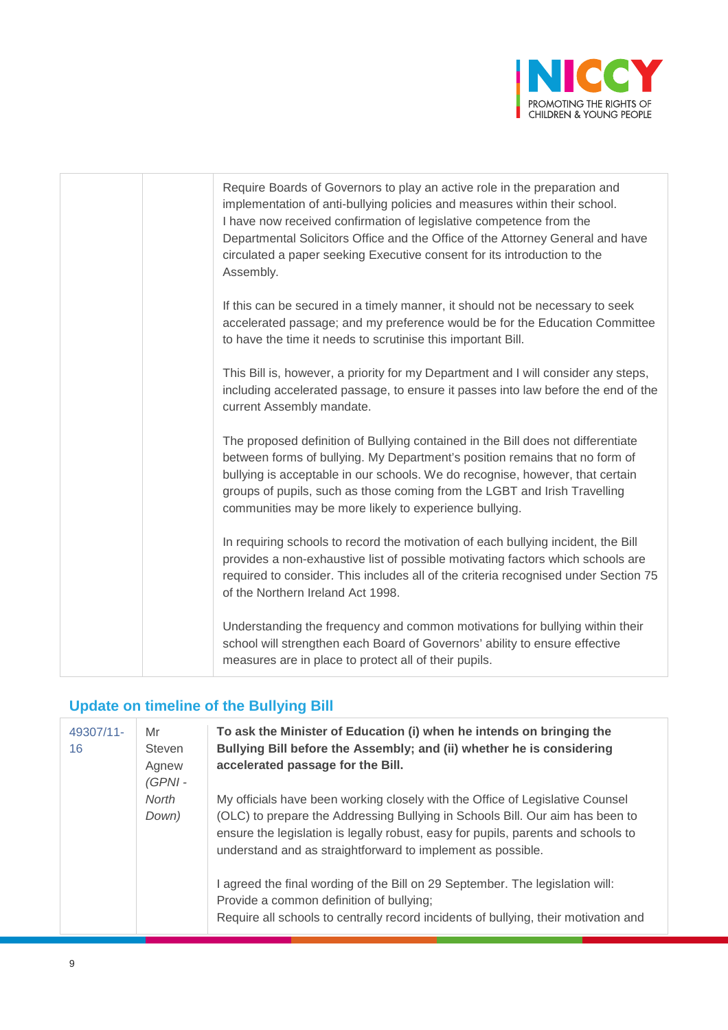

| Require Boards of Governors to play an active role in the preparation and<br>implementation of anti-bullying policies and measures within their school.<br>I have now received confirmation of legislative competence from the<br>Departmental Solicitors Office and the Office of the Attorney General and have<br>circulated a paper seeking Executive consent for its introduction to the<br>Assembly. |
|-----------------------------------------------------------------------------------------------------------------------------------------------------------------------------------------------------------------------------------------------------------------------------------------------------------------------------------------------------------------------------------------------------------|
| If this can be secured in a timely manner, it should not be necessary to seek<br>accelerated passage; and my preference would be for the Education Committee<br>to have the time it needs to scrutinise this important Bill.                                                                                                                                                                              |
| This Bill is, however, a priority for my Department and I will consider any steps,<br>including accelerated passage, to ensure it passes into law before the end of the<br>current Assembly mandate.                                                                                                                                                                                                      |
| The proposed definition of Bullying contained in the Bill does not differentiate<br>between forms of bullying. My Department's position remains that no form of<br>bullying is acceptable in our schools. We do recognise, however, that certain<br>groups of pupils, such as those coming from the LGBT and Irish Travelling<br>communities may be more likely to experience bullying.                   |
| In requiring schools to record the motivation of each bullying incident, the Bill<br>provides a non-exhaustive list of possible motivating factors which schools are<br>required to consider. This includes all of the criteria recognised under Section 75<br>of the Northern Ireland Act 1998.                                                                                                          |
| Understanding the frequency and common motivations for bullying within their<br>school will strengthen each Board of Governors' ability to ensure effective<br>measures are in place to protect all of their pupils.                                                                                                                                                                                      |

## **Update on timeline of the Bullying Bill**

| 49307/11-<br>16 | Mr<br>Steven<br>Agnew<br>$(GPNI -$ | To ask the Minister of Education (i) when he intends on bringing the<br>Bullying Bill before the Assembly; and (ii) whether he is considering<br>accelerated passage for the Bill.                                                                                                                                 |
|-----------------|------------------------------------|--------------------------------------------------------------------------------------------------------------------------------------------------------------------------------------------------------------------------------------------------------------------------------------------------------------------|
|                 | North<br>Down)                     | My officials have been working closely with the Office of Legislative Counsel<br>(OLC) to prepare the Addressing Bullying in Schools Bill. Our aim has been to<br>ensure the legislation is legally robust, easy for pupils, parents and schools to<br>understand and as straightforward to implement as possible. |
|                 |                                    | I agreed the final wording of the Bill on 29 September. The legislation will:<br>Provide a common definition of bullying;<br>Require all schools to centrally record incidents of bullying, their motivation and                                                                                                   |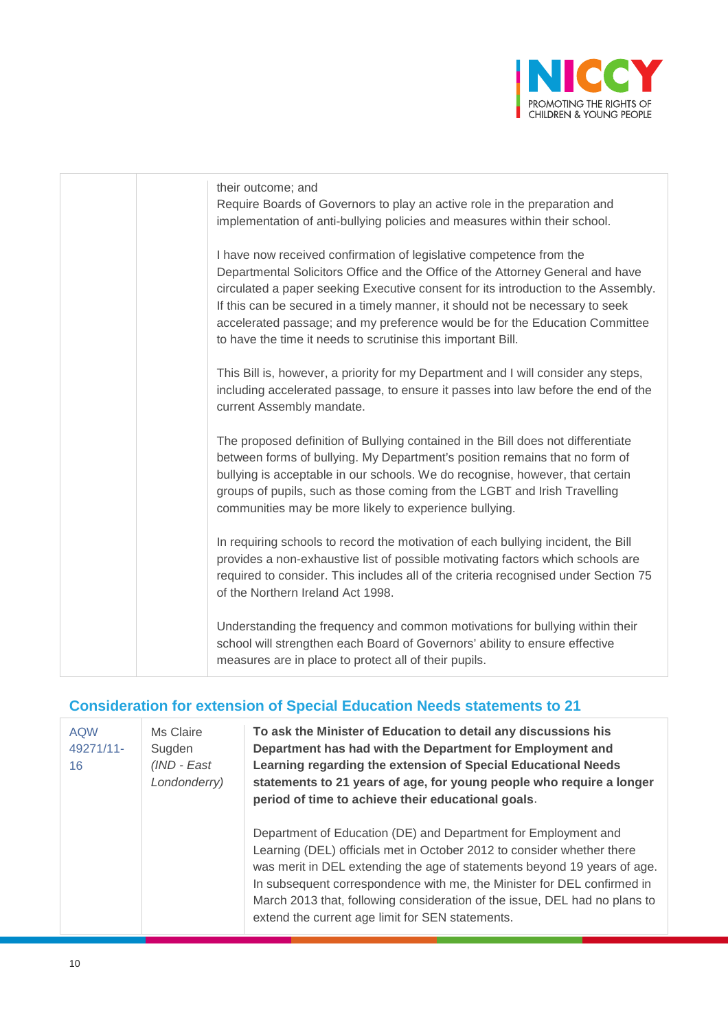

| their outcome; and<br>Require Boards of Governors to play an active role in the preparation and<br>implementation of anti-bullying policies and measures within their school.                                                                                                                                                                                                                                                                                               |
|-----------------------------------------------------------------------------------------------------------------------------------------------------------------------------------------------------------------------------------------------------------------------------------------------------------------------------------------------------------------------------------------------------------------------------------------------------------------------------|
| I have now received confirmation of legislative competence from the<br>Departmental Solicitors Office and the Office of the Attorney General and have<br>circulated a paper seeking Executive consent for its introduction to the Assembly.<br>If this can be secured in a timely manner, it should not be necessary to seek<br>accelerated passage; and my preference would be for the Education Committee<br>to have the time it needs to scrutinise this important Bill. |
| This Bill is, however, a priority for my Department and I will consider any steps,<br>including accelerated passage, to ensure it passes into law before the end of the<br>current Assembly mandate.                                                                                                                                                                                                                                                                        |
| The proposed definition of Bullying contained in the Bill does not differentiate<br>between forms of bullying. My Department's position remains that no form of<br>bullying is acceptable in our schools. We do recognise, however, that certain<br>groups of pupils, such as those coming from the LGBT and Irish Travelling<br>communities may be more likely to experience bullying.                                                                                     |
| In requiring schools to record the motivation of each bullying incident, the Bill<br>provides a non-exhaustive list of possible motivating factors which schools are<br>required to consider. This includes all of the criteria recognised under Section 75<br>of the Northern Ireland Act 1998.                                                                                                                                                                            |
| Understanding the frequency and common motivations for bullying within their<br>school will strengthen each Board of Governors' ability to ensure effective<br>measures are in place to protect all of their pupils.                                                                                                                                                                                                                                                        |

## **Consideration for extension of Special Education Needs statements to 21**

| <b>AQW</b><br>49271/11-<br>16 | Ms Claire<br>Sugden<br>(IND - East<br>Londonderry) | To ask the Minister of Education to detail any discussions his<br>Department has had with the Department for Employment and<br>Learning regarding the extension of Special Educational Needs<br>statements to 21 years of age, for young people who require a longer<br>period of time to achieve their educational goals.                                                                                                        |
|-------------------------------|----------------------------------------------------|-----------------------------------------------------------------------------------------------------------------------------------------------------------------------------------------------------------------------------------------------------------------------------------------------------------------------------------------------------------------------------------------------------------------------------------|
|                               |                                                    | Department of Education (DE) and Department for Employment and<br>Learning (DEL) officials met in October 2012 to consider whether there<br>was merit in DEL extending the age of statements beyond 19 years of age.<br>In subsequent correspondence with me, the Minister for DEL confirmed in<br>March 2013 that, following consideration of the issue, DEL had no plans to<br>extend the current age limit for SEN statements. |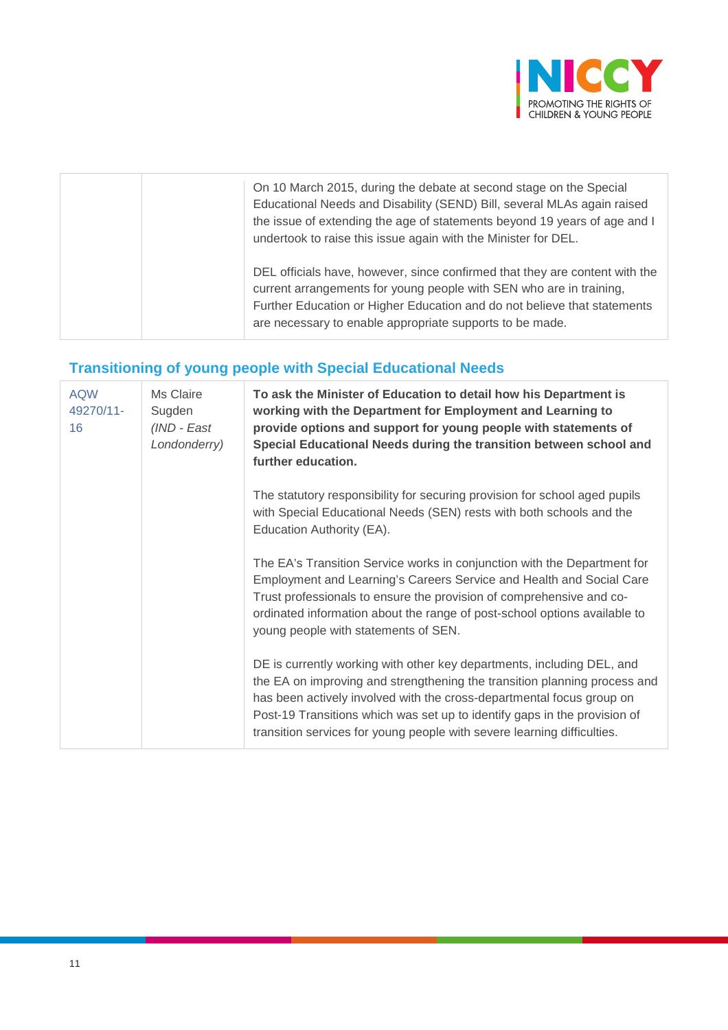

| On 10 March 2015, during the debate at second stage on the Special<br>Educational Needs and Disability (SEND) Bill, several MLAs again raised<br>the issue of extending the age of statements beyond 19 years of age and I<br>undertook to raise this issue again with the Minister for DEL. |
|----------------------------------------------------------------------------------------------------------------------------------------------------------------------------------------------------------------------------------------------------------------------------------------------|
| DEL officials have, however, since confirmed that they are content with the<br>current arrangements for young people with SEN who are in training,<br>Further Education or Higher Education and do not believe that statements<br>are necessary to enable appropriate supports to be made.   |

## **Transitioning of young people with Special Educational Needs**

| <b>AQW</b><br>49270/11-<br>16 | Ms Claire<br>Sugden<br>(IND - East<br>Londonderry) | To ask the Minister of Education to detail how his Department is<br>working with the Department for Employment and Learning to<br>provide options and support for young people with statements of<br>Special Educational Needs during the transition between school and<br>further education.                                                                                        |
|-------------------------------|----------------------------------------------------|--------------------------------------------------------------------------------------------------------------------------------------------------------------------------------------------------------------------------------------------------------------------------------------------------------------------------------------------------------------------------------------|
|                               |                                                    | The statutory responsibility for securing provision for school aged pupils<br>with Special Educational Needs (SEN) rests with both schools and the<br>Education Authority (EA).                                                                                                                                                                                                      |
|                               |                                                    | The EA's Transition Service works in conjunction with the Department for<br>Employment and Learning's Careers Service and Health and Social Care<br>Trust professionals to ensure the provision of comprehensive and co-<br>ordinated information about the range of post-school options available to<br>young people with statements of SEN.                                        |
|                               |                                                    | DE is currently working with other key departments, including DEL, and<br>the EA on improving and strengthening the transition planning process and<br>has been actively involved with the cross-departmental focus group on<br>Post-19 Transitions which was set up to identify gaps in the provision of<br>transition services for young people with severe learning difficulties. |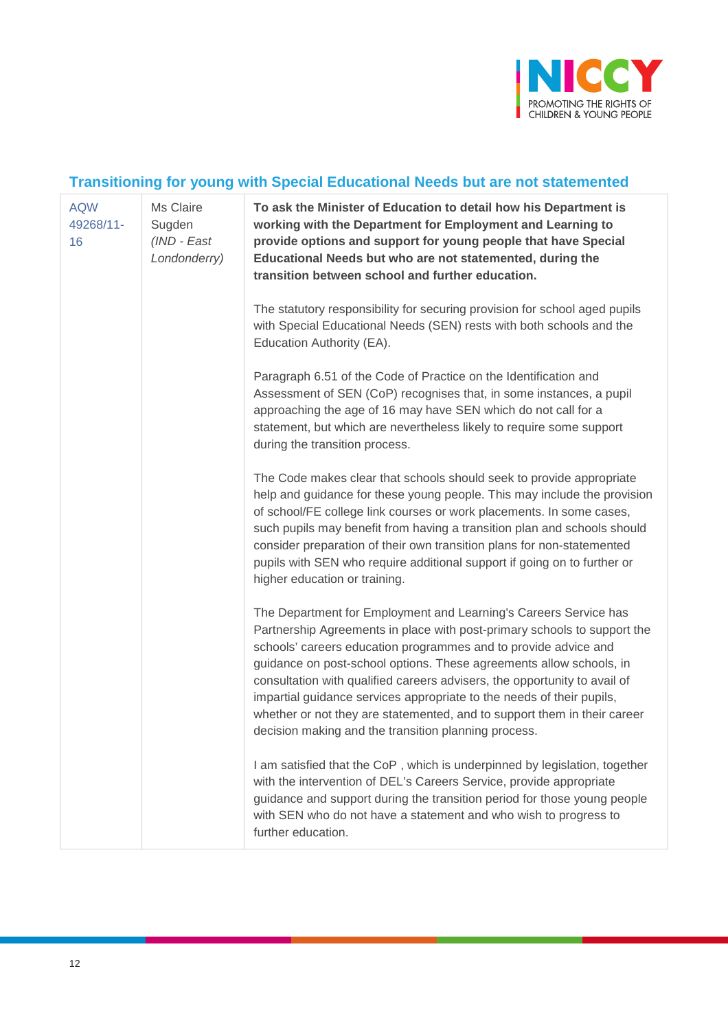

# **Transitioning for young with Special Educational Needs but are not statemented**

| <b>AQW</b><br>49268/11-<br>16 | Ms Claire<br>Sugden<br>(IND - East<br>Londonderry) | To ask the Minister of Education to detail how his Department is<br>working with the Department for Employment and Learning to<br>provide options and support for young people that have Special<br>Educational Needs but who are not statemented, during the<br>transition between school and further education.                                                                                                                                                                                                                                                                |
|-------------------------------|----------------------------------------------------|----------------------------------------------------------------------------------------------------------------------------------------------------------------------------------------------------------------------------------------------------------------------------------------------------------------------------------------------------------------------------------------------------------------------------------------------------------------------------------------------------------------------------------------------------------------------------------|
|                               |                                                    | The statutory responsibility for securing provision for school aged pupils<br>with Special Educational Needs (SEN) rests with both schools and the<br>Education Authority (EA).                                                                                                                                                                                                                                                                                                                                                                                                  |
|                               |                                                    | Paragraph 6.51 of the Code of Practice on the Identification and<br>Assessment of SEN (CoP) recognises that, in some instances, a pupil<br>approaching the age of 16 may have SEN which do not call for a<br>statement, but which are nevertheless likely to require some support<br>during the transition process.                                                                                                                                                                                                                                                              |
|                               |                                                    | The Code makes clear that schools should seek to provide appropriate<br>help and guidance for these young people. This may include the provision<br>of school/FE college link courses or work placements. In some cases,<br>such pupils may benefit from having a transition plan and schools should<br>consider preparation of their own transition plans for non-statemented<br>pupils with SEN who require additional support if going on to further or<br>higher education or training.                                                                                      |
|                               |                                                    | The Department for Employment and Learning's Careers Service has<br>Partnership Agreements in place with post-primary schools to support the<br>schools' careers education programmes and to provide advice and<br>guidance on post-school options. These agreements allow schools, in<br>consultation with qualified careers advisers, the opportunity to avail of<br>impartial guidance services appropriate to the needs of their pupils,<br>whether or not they are statemented, and to support them in their career<br>decision making and the transition planning process. |
|                               |                                                    | I am satisfied that the CoP, which is underpinned by legislation, together<br>with the intervention of DEL's Careers Service, provide appropriate<br>guidance and support during the transition period for those young people<br>with SEN who do not have a statement and who wish to progress to<br>further education.                                                                                                                                                                                                                                                          |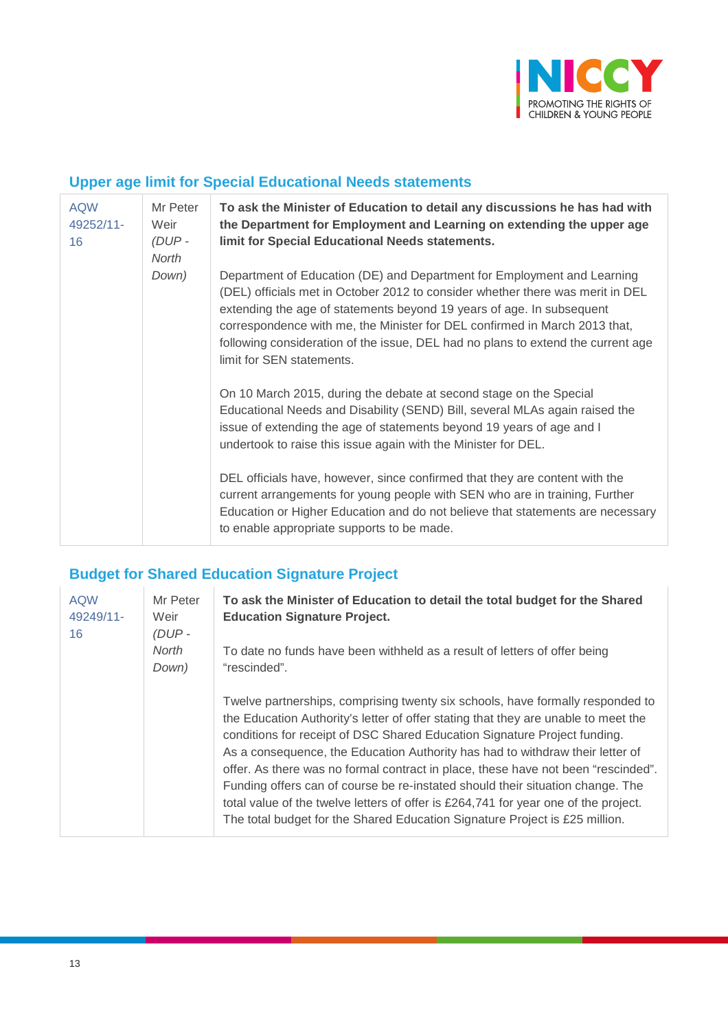

#### **Upper age limit for Special Educational Needs statements**

| <b>AQW</b><br>49252/11-<br>16 | Mr Peter<br>Weir<br>$(DUP -$<br>North | To ask the Minister of Education to detail any discussions he has had with<br>the Department for Employment and Learning on extending the upper age<br>limit for Special Educational Needs statements.                                                                                                                                                                                                                            |
|-------------------------------|---------------------------------------|-----------------------------------------------------------------------------------------------------------------------------------------------------------------------------------------------------------------------------------------------------------------------------------------------------------------------------------------------------------------------------------------------------------------------------------|
|                               | Down)                                 | Department of Education (DE) and Department for Employment and Learning<br>(DEL) officials met in October 2012 to consider whether there was merit in DEL<br>extending the age of statements beyond 19 years of age. In subsequent<br>correspondence with me, the Minister for DEL confirmed in March 2013 that,<br>following consideration of the issue, DEL had no plans to extend the current age<br>limit for SEN statements. |
|                               |                                       | On 10 March 2015, during the debate at second stage on the Special<br>Educational Needs and Disability (SEND) Bill, several MLAs again raised the<br>issue of extending the age of statements beyond 19 years of age and I<br>undertook to raise this issue again with the Minister for DEL.                                                                                                                                      |
|                               |                                       | DEL officials have, however, since confirmed that they are content with the<br>current arrangements for young people with SEN who are in training, Further<br>Education or Higher Education and do not believe that statements are necessary<br>to enable appropriate supports to be made.                                                                                                                                        |

# **Budget for Shared Education Signature Project**

| <b>AQW</b><br>49249/11-<br>16 | Mr Peter<br>Weir<br>(DUP- | To ask the Minister of Education to detail the total budget for the Shared<br><b>Education Signature Project.</b>                                                                                                                                                                                                                                                                                                                                                                                                                                                                                                                                                               |
|-------------------------------|---------------------------|---------------------------------------------------------------------------------------------------------------------------------------------------------------------------------------------------------------------------------------------------------------------------------------------------------------------------------------------------------------------------------------------------------------------------------------------------------------------------------------------------------------------------------------------------------------------------------------------------------------------------------------------------------------------------------|
|                               | North<br>Down)            | To date no funds have been withheld as a result of letters of offer being<br>"rescinded".                                                                                                                                                                                                                                                                                                                                                                                                                                                                                                                                                                                       |
|                               |                           | Twelve partnerships, comprising twenty six schools, have formally responded to<br>the Education Authority's letter of offer stating that they are unable to meet the<br>conditions for receipt of DSC Shared Education Signature Project funding.<br>As a consequence, the Education Authority has had to withdraw their letter of<br>offer. As there was no formal contract in place, these have not been "rescinded".<br>Funding offers can of course be re-instated should their situation change. The<br>total value of the twelve letters of offer is £264,741 for year one of the project.<br>The total budget for the Shared Education Signature Project is £25 million. |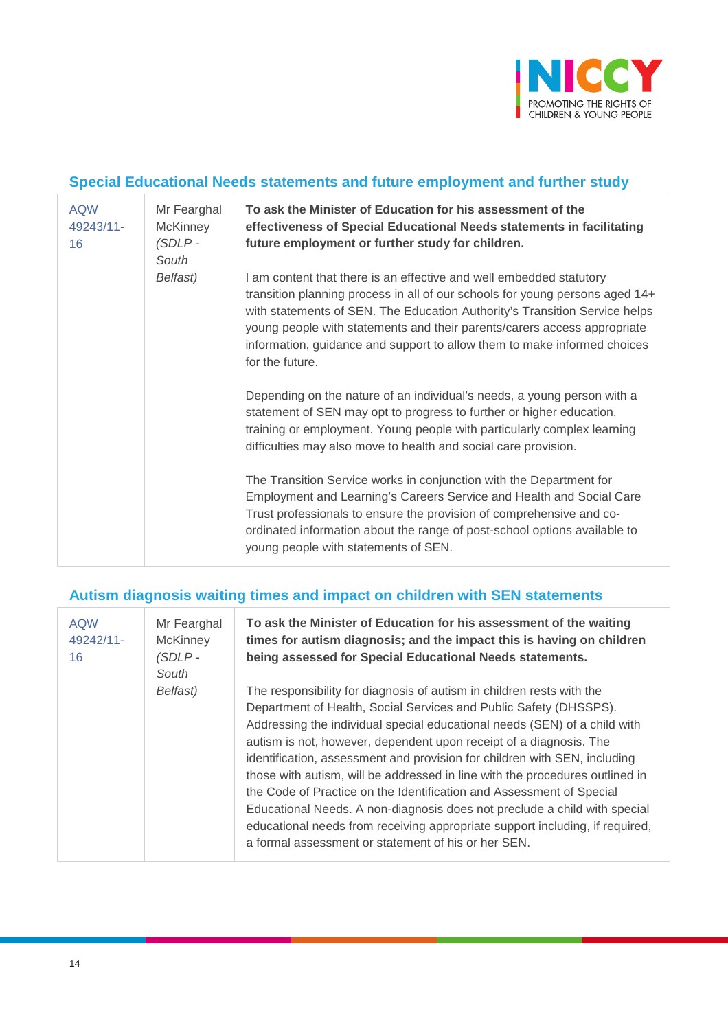

#### **Special Educational Needs statements and future employment and further study**

| <b>AQW</b><br>49243/11-<br>16 | Mr Fearghal<br><b>McKinney</b><br>$(SDLP -$<br>South | To ask the Minister of Education for his assessment of the<br>effectiveness of Special Educational Needs statements in facilitating<br>future employment or further study for children.                                                                                                                                                                                                                      |
|-------------------------------|------------------------------------------------------|--------------------------------------------------------------------------------------------------------------------------------------------------------------------------------------------------------------------------------------------------------------------------------------------------------------------------------------------------------------------------------------------------------------|
|                               | Belfast)                                             | I am content that there is an effective and well embedded statutory<br>transition planning process in all of our schools for young persons aged 14+<br>with statements of SEN. The Education Authority's Transition Service helps<br>young people with statements and their parents/carers access appropriate<br>information, guidance and support to allow them to make informed choices<br>for the future. |
|                               |                                                      | Depending on the nature of an individual's needs, a young person with a<br>statement of SEN may opt to progress to further or higher education,<br>training or employment. Young people with particularly complex learning<br>difficulties may also move to health and social care provision.                                                                                                                |
|                               |                                                      | The Transition Service works in conjunction with the Department for<br>Employment and Learning's Careers Service and Health and Social Care<br>Trust professionals to ensure the provision of comprehensive and co-<br>ordinated information about the range of post-school options available to<br>young people with statements of SEN.                                                                     |

#### **Autism diagnosis waiting times and impact on children with SEN statements**

| <b>AQW</b><br>49242/11-<br>16 | Mr Fearghal<br><b>McKinney</b><br>$(SDLP -$<br>South<br>Belfast) | To ask the Minister of Education for his assessment of the waiting<br>times for autism diagnosis; and the impact this is having on children<br>being assessed for Special Educational Needs statements.<br>The responsibility for diagnosis of autism in children rests with the<br>Department of Health, Social Services and Public Safety (DHSSPS).<br>Addressing the individual special educational needs (SEN) of a child with<br>autism is not, however, dependent upon receipt of a diagnosis. The<br>identification, assessment and provision for children with SEN, including<br>those with autism, will be addressed in line with the procedures outlined in<br>the Code of Practice on the Identification and Assessment of Special<br>Educational Needs. A non-diagnosis does not preclude a child with special<br>educational needs from receiving appropriate support including, if required,<br>a formal assessment or statement of his or her SEN. |
|-------------------------------|------------------------------------------------------------------|-------------------------------------------------------------------------------------------------------------------------------------------------------------------------------------------------------------------------------------------------------------------------------------------------------------------------------------------------------------------------------------------------------------------------------------------------------------------------------------------------------------------------------------------------------------------------------------------------------------------------------------------------------------------------------------------------------------------------------------------------------------------------------------------------------------------------------------------------------------------------------------------------------------------------------------------------------------------|
|-------------------------------|------------------------------------------------------------------|-------------------------------------------------------------------------------------------------------------------------------------------------------------------------------------------------------------------------------------------------------------------------------------------------------------------------------------------------------------------------------------------------------------------------------------------------------------------------------------------------------------------------------------------------------------------------------------------------------------------------------------------------------------------------------------------------------------------------------------------------------------------------------------------------------------------------------------------------------------------------------------------------------------------------------------------------------------------|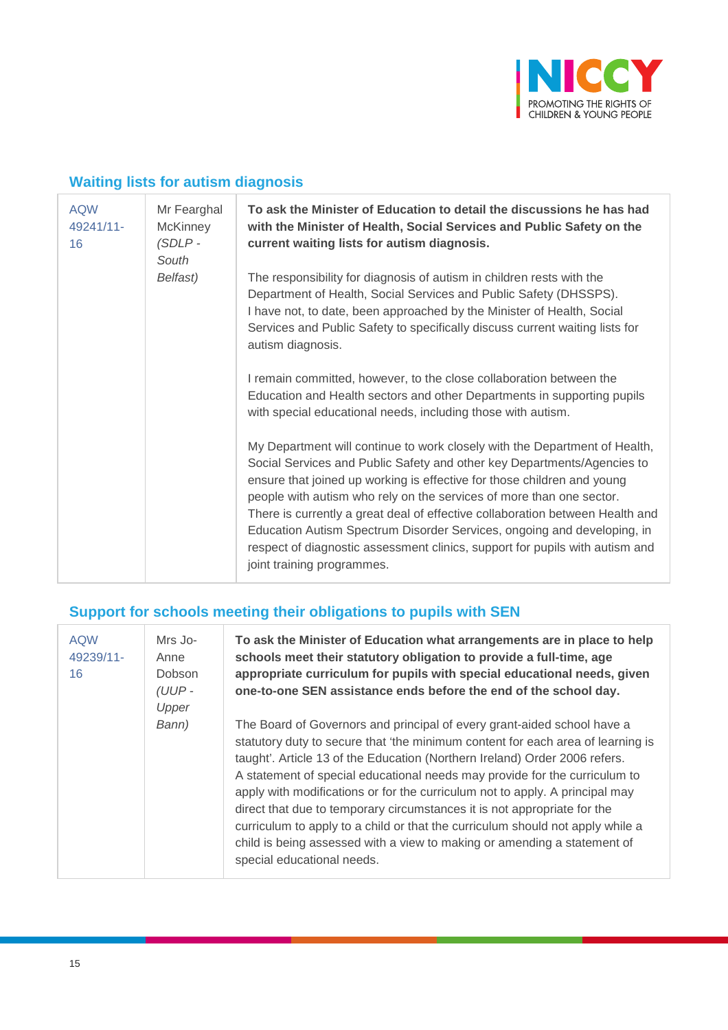

#### **Waiting lists for autism diagnosis**

| <b>AQW</b><br>49241/11-<br>16 | Mr Fearghal<br><b>McKinney</b><br>$(SDLP -$<br>South | To ask the Minister of Education to detail the discussions he has had<br>with the Minister of Health, Social Services and Public Safety on the<br>current waiting lists for autism diagnosis.                                                                                                                                                                                                                                                                                                                                                                                      |
|-------------------------------|------------------------------------------------------|------------------------------------------------------------------------------------------------------------------------------------------------------------------------------------------------------------------------------------------------------------------------------------------------------------------------------------------------------------------------------------------------------------------------------------------------------------------------------------------------------------------------------------------------------------------------------------|
|                               | Belfast)                                             | The responsibility for diagnosis of autism in children rests with the<br>Department of Health, Social Services and Public Safety (DHSSPS).<br>I have not, to date, been approached by the Minister of Health, Social<br>Services and Public Safety to specifically discuss current waiting lists for<br>autism diagnosis.                                                                                                                                                                                                                                                          |
|                               |                                                      | I remain committed, however, to the close collaboration between the<br>Education and Health sectors and other Departments in supporting pupils<br>with special educational needs, including those with autism.                                                                                                                                                                                                                                                                                                                                                                     |
|                               |                                                      | My Department will continue to work closely with the Department of Health,<br>Social Services and Public Safety and other key Departments/Agencies to<br>ensure that joined up working is effective for those children and young<br>people with autism who rely on the services of more than one sector.<br>There is currently a great deal of effective collaboration between Health and<br>Education Autism Spectrum Disorder Services, ongoing and developing, in<br>respect of diagnostic assessment clinics, support for pupils with autism and<br>joint training programmes. |

## **Support for schools meeting their obligations to pupils with SEN**

| <b>AQW</b><br>49239/11-<br>16 | Mrs Jo-<br>Anne<br>Dobson<br>(UUP-<br>Upper | To ask the Minister of Education what arrangements are in place to help<br>schools meet their statutory obligation to provide a full-time, age<br>appropriate curriculum for pupils with special educational needs, given<br>one-to-one SEN assistance ends before the end of the school day.                                                                                                                                                                                                                                                                                                                                                                                  |
|-------------------------------|---------------------------------------------|--------------------------------------------------------------------------------------------------------------------------------------------------------------------------------------------------------------------------------------------------------------------------------------------------------------------------------------------------------------------------------------------------------------------------------------------------------------------------------------------------------------------------------------------------------------------------------------------------------------------------------------------------------------------------------|
|                               | Bann)                                       | The Board of Governors and principal of every grant-aided school have a<br>statutory duty to secure that 'the minimum content for each area of learning is<br>taught'. Article 13 of the Education (Northern Ireland) Order 2006 refers.<br>A statement of special educational needs may provide for the curriculum to<br>apply with modifications or for the curriculum not to apply. A principal may<br>direct that due to temporary circumstances it is not appropriate for the<br>curriculum to apply to a child or that the curriculum should not apply while a<br>child is being assessed with a view to making or amending a statement of<br>special educational needs. |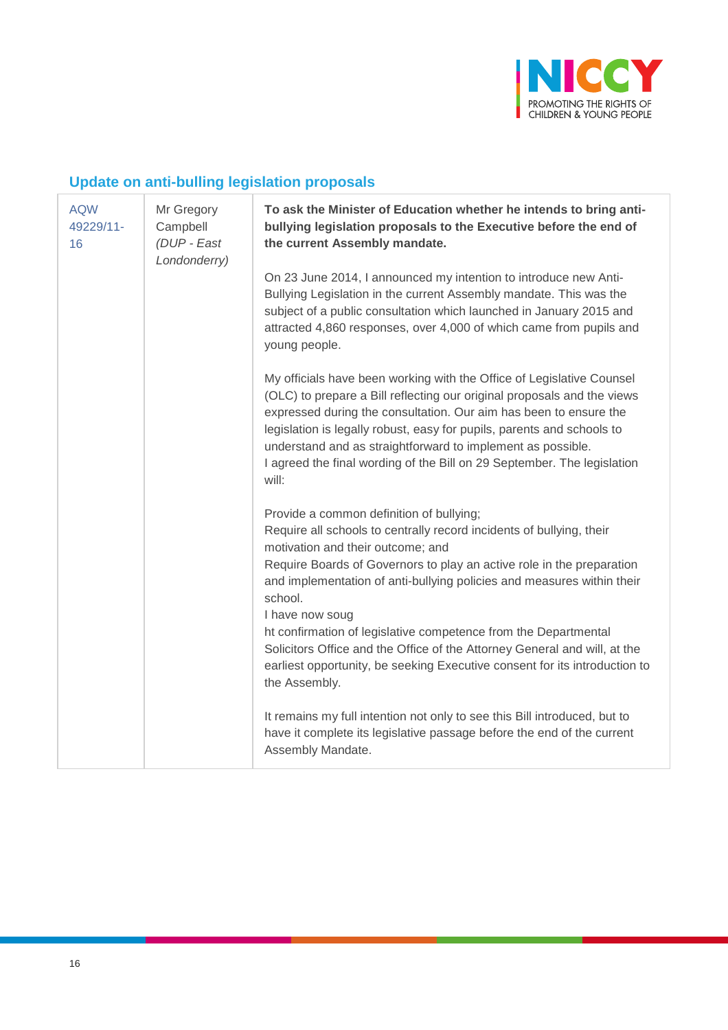

## **Update on anti-bulling legislation proposals**

| <b>AQW</b><br>49229/11-<br>16 | Mr Gregory<br>Campbell<br>(DUP - East<br>Londonderry) | To ask the Minister of Education whether he intends to bring anti-<br>bullying legislation proposals to the Executive before the end of<br>the current Assembly mandate.                                                                                                                                                                                                                                                                                                                                                                                             |
|-------------------------------|-------------------------------------------------------|----------------------------------------------------------------------------------------------------------------------------------------------------------------------------------------------------------------------------------------------------------------------------------------------------------------------------------------------------------------------------------------------------------------------------------------------------------------------------------------------------------------------------------------------------------------------|
|                               |                                                       | On 23 June 2014, I announced my intention to introduce new Anti-<br>Bullying Legislation in the current Assembly mandate. This was the<br>subject of a public consultation which launched in January 2015 and<br>attracted 4,860 responses, over 4,000 of which came from pupils and<br>young people.                                                                                                                                                                                                                                                                |
|                               |                                                       | My officials have been working with the Office of Legislative Counsel<br>(OLC) to prepare a Bill reflecting our original proposals and the views<br>expressed during the consultation. Our aim has been to ensure the<br>legislation is legally robust, easy for pupils, parents and schools to<br>understand and as straightforward to implement as possible.<br>I agreed the final wording of the Bill on 29 September. The legislation<br>will:                                                                                                                   |
|                               |                                                       | Provide a common definition of bullying;<br>Require all schools to centrally record incidents of bullying, their<br>motivation and their outcome; and<br>Require Boards of Governors to play an active role in the preparation<br>and implementation of anti-bullying policies and measures within their<br>school.<br>I have now soug<br>ht confirmation of legislative competence from the Departmental<br>Solicitors Office and the Office of the Attorney General and will, at the<br>earliest opportunity, be seeking Executive consent for its introduction to |
|                               |                                                       | the Assembly.<br>It remains my full intention not only to see this Bill introduced, but to<br>have it complete its legislative passage before the end of the current<br>Assembly Mandate.                                                                                                                                                                                                                                                                                                                                                                            |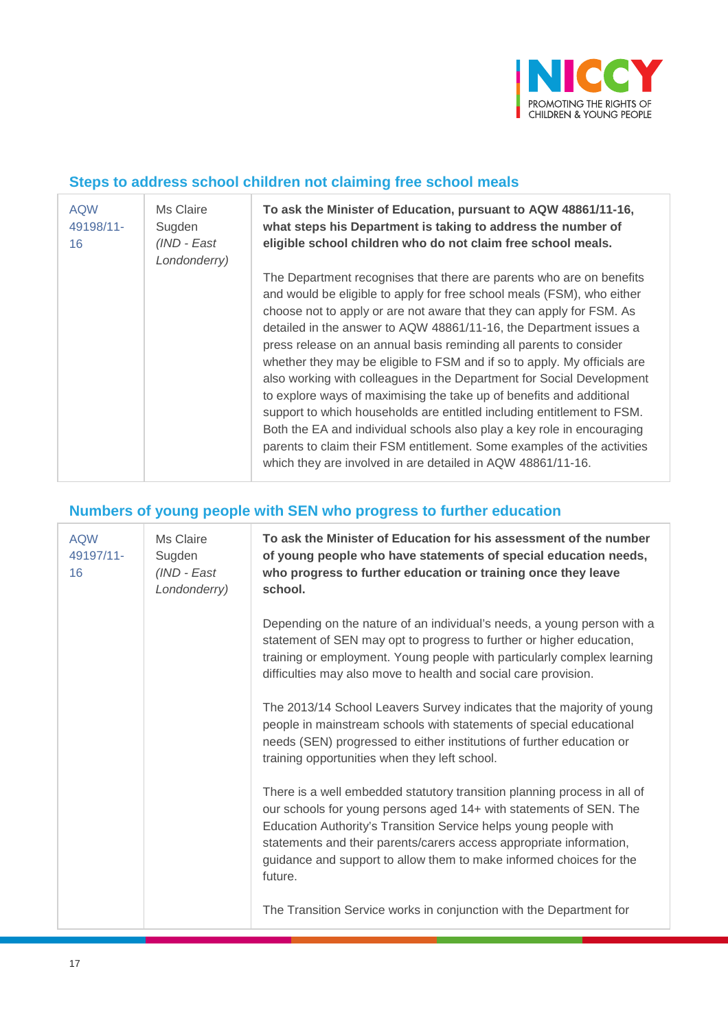

#### **Steps to address school children not claiming free school meals**

| <b>AQW</b><br>49198/11-<br>16 | Ms Claire<br>Sugden<br>(IND - East<br>Londonderry) | To ask the Minister of Education, pursuant to AQW 48861/11-16,<br>what steps his Department is taking to address the number of<br>eligible school children who do not claim free school meals.                                                                                                                                                                                                                                                                                                                                                                                                                                                                                                                                                                                                                                                                                                |
|-------------------------------|----------------------------------------------------|-----------------------------------------------------------------------------------------------------------------------------------------------------------------------------------------------------------------------------------------------------------------------------------------------------------------------------------------------------------------------------------------------------------------------------------------------------------------------------------------------------------------------------------------------------------------------------------------------------------------------------------------------------------------------------------------------------------------------------------------------------------------------------------------------------------------------------------------------------------------------------------------------|
|                               |                                                    | The Department recognises that there are parents who are on benefits<br>and would be eligible to apply for free school meals (FSM), who either<br>choose not to apply or are not aware that they can apply for FSM. As<br>detailed in the answer to AQW 48861/11-16, the Department issues a<br>press release on an annual basis reminding all parents to consider<br>whether they may be eligible to FSM and if so to apply. My officials are<br>also working with colleagues in the Department for Social Development<br>to explore ways of maximising the take up of benefits and additional<br>support to which households are entitled including entitlement to FSM.<br>Both the EA and individual schools also play a key role in encouraging<br>parents to claim their FSM entitlement. Some examples of the activities<br>which they are involved in are detailed in AQW 48861/11-16. |

#### **Numbers of young people with SEN who progress to further education**

| <b>AQW</b><br>49197/11-<br>16 | Ms Claire<br>Sugden<br>$(IND - East)$<br>Londonderry) | To ask the Minister of Education for his assessment of the number<br>of young people who have statements of special education needs,<br>who progress to further education or training once they leave<br>school.                                                                                                                                                            |
|-------------------------------|-------------------------------------------------------|-----------------------------------------------------------------------------------------------------------------------------------------------------------------------------------------------------------------------------------------------------------------------------------------------------------------------------------------------------------------------------|
|                               |                                                       | Depending on the nature of an individual's needs, a young person with a<br>statement of SEN may opt to progress to further or higher education,<br>training or employment. Young people with particularly complex learning<br>difficulties may also move to health and social care provision.                                                                               |
|                               |                                                       | The 2013/14 School Leavers Survey indicates that the majority of young<br>people in mainstream schools with statements of special educational<br>needs (SEN) progressed to either institutions of further education or<br>training opportunities when they left school.                                                                                                     |
|                               |                                                       | There is a well embedded statutory transition planning process in all of<br>our schools for young persons aged 14+ with statements of SEN. The<br>Education Authority's Transition Service helps young people with<br>statements and their parents/carers access appropriate information,<br>guidance and support to allow them to make informed choices for the<br>future. |
|                               |                                                       | The Transition Service works in conjunction with the Department for                                                                                                                                                                                                                                                                                                         |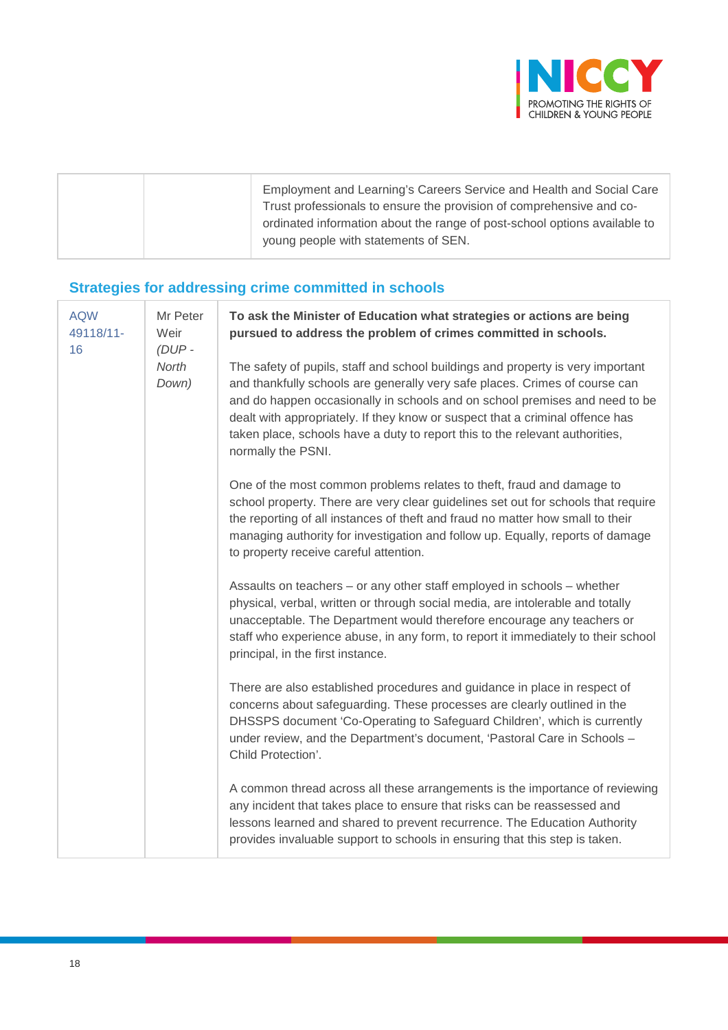

| Employment and Learning's Careers Service and Health and Social Care                                                                              |
|---------------------------------------------------------------------------------------------------------------------------------------------------|
| Trust professionals to ensure the provision of comprehensive and co-<br>ordinated information about the range of post-school options available to |
| young people with statements of SEN.                                                                                                              |

## **Strategies for addressing crime committed in schools**

| <b>AQW</b><br>49118/11-<br>16 | Mr Peter<br>Weir<br>$(DUP -$<br>North<br>Down) | To ask the Minister of Education what strategies or actions are being<br>pursued to address the problem of crimes committed in schools.                                                                                                                                                                                                                                                                                              |
|-------------------------------|------------------------------------------------|--------------------------------------------------------------------------------------------------------------------------------------------------------------------------------------------------------------------------------------------------------------------------------------------------------------------------------------------------------------------------------------------------------------------------------------|
|                               |                                                | The safety of pupils, staff and school buildings and property is very important<br>and thankfully schools are generally very safe places. Crimes of course can<br>and do happen occasionally in schools and on school premises and need to be<br>dealt with appropriately. If they know or suspect that a criminal offence has<br>taken place, schools have a duty to report this to the relevant authorities,<br>normally the PSNI. |
|                               |                                                | One of the most common problems relates to theft, fraud and damage to<br>school property. There are very clear guidelines set out for schools that require<br>the reporting of all instances of theft and fraud no matter how small to their<br>managing authority for investigation and follow up. Equally, reports of damage<br>to property receive careful attention.                                                             |
|                               |                                                | Assaults on teachers – or any other staff employed in schools – whether<br>physical, verbal, written or through social media, are intolerable and totally<br>unacceptable. The Department would therefore encourage any teachers or<br>staff who experience abuse, in any form, to report it immediately to their school<br>principal, in the first instance.                                                                        |
|                               |                                                | There are also established procedures and guidance in place in respect of<br>concerns about safeguarding. These processes are clearly outlined in the<br>DHSSPS document 'Co-Operating to Safeguard Children', which is currently<br>under review, and the Department's document, 'Pastoral Care in Schools -<br>Child Protection'.                                                                                                  |
|                               |                                                | A common thread across all these arrangements is the importance of reviewing<br>any incident that takes place to ensure that risks can be reassessed and<br>lessons learned and shared to prevent recurrence. The Education Authority<br>provides invaluable support to schools in ensuring that this step is taken.                                                                                                                 |